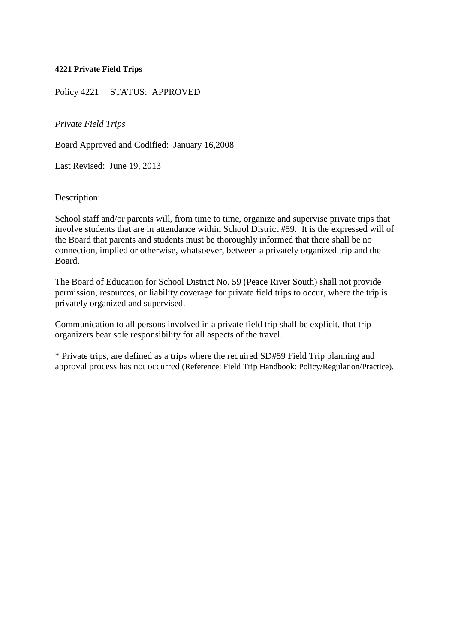#### **4221 Private Field Trips**

## Policy 4221 STATUS: APPROVED

#### *Private Field Trips*

Board Approved and Codified: January 16,2008

Last Revised: June 19, 2013

Description:

School staff and/or parents will, from time to time, organize and supervise private trips that involve students that are in attendance within School District #59. It is the expressed will of the Board that parents and students must be thoroughly informed that there shall be no connection, implied or otherwise, whatsoever, between a privately organized trip and the Board.

The Board of Education for School District No. 59 (Peace River South) shall not provide permission, resources, or liability coverage for private field trips to occur, where the trip is privately organized and supervised.

Communication to all persons involved in a private field trip shall be explicit, that trip organizers bear sole responsibility for all aspects of the travel.

\* Private trips, are defined as a trips where the required SD#59 Field Trip planning and approval process has not occurred (Reference: Field Trip Handbook: Policy/Regulation/Practice).